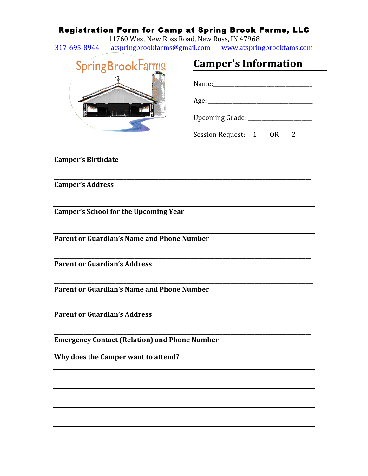## Registration Form for Camp at Spring Brook Farms, LLC

11760 West New Ross Road, New Ross, IN 47968 317-695-8944 atspringbrookfarms@gmail.com www.atspringbrookfams.com

**\_\_\_\_\_\_\_\_\_\_\_\_\_\_\_\_\_\_\_\_\_\_\_\_\_\_\_\_\_\_\_\_\_\_\_\_\_\_\_\_\_\_\_\_\_\_\_\_\_\_\_\_\_\_\_\_\_\_\_\_\_\_\_\_\_\_\_\_\_\_\_\_\_\_\_\_\_\_\_\_\_\_\_\_\_\_\_\_\_\_\_\_\_\_\_\_**

**\_\_\_\_\_\_\_\_\_\_\_\_\_\_\_\_\_\_\_\_\_\_\_\_\_\_\_\_\_\_\_\_\_\_\_\_\_\_\_\_\_\_\_\_\_\_\_\_\_\_\_\_\_\_\_\_\_\_\_\_\_\_\_\_\_\_\_\_\_\_\_\_\_\_\_\_\_\_\_\_\_\_\_\_\_\_\_\_\_\_\_\_\_\_\_\_**

**\_\_\_\_\_\_\_\_\_\_\_\_\_\_\_\_\_\_\_\_\_\_\_\_\_\_\_\_\_\_\_\_\_\_\_\_\_\_\_\_\_\_\_\_\_\_\_\_\_\_\_\_\_\_\_\_\_\_\_\_\_\_\_\_\_\_\_\_\_\_\_\_\_\_\_\_\_\_\_\_\_\_\_\_\_\_\_\_\_\_\_\_\_\_\_\_\_**

**\_\_\_\_\_\_\_\_\_\_\_\_\_\_\_\_\_\_\_\_\_\_\_\_\_\_\_\_\_\_\_\_\_\_\_\_\_\_\_\_\_\_\_\_\_\_\_\_\_\_\_\_\_\_\_\_\_\_\_\_\_\_\_\_\_\_\_\_\_\_\_\_\_\_\_\_\_\_\_\_\_\_\_\_\_\_\_\_\_\_\_\_\_\_\_\_\_**

**\_\_\_\_\_\_\_\_\_\_\_\_\_\_\_\_\_\_\_\_\_\_\_\_\_\_\_\_\_\_\_\_\_\_\_\_\_\_\_\_\_\_\_\_\_\_\_\_\_\_\_\_\_\_\_\_\_\_\_\_\_\_\_\_\_\_\_\_\_\_\_\_\_\_\_\_\_\_\_\_\_\_\_\_\_\_\_\_\_\_\_\_\_\_\_\_**



**\_\_\_\_\_\_\_\_\_\_\_\_\_\_\_\_\_\_\_\_\_\_\_\_\_\_\_\_\_\_\_\_\_\_\_\_\_\_\_\_\_**

| Upcoming Grade: ________             |  |  |  |
|--------------------------------------|--|--|--|
| Session Request: 1<br>0 <sub>R</sub> |  |  |  |

**Camper's Information** 

**Camper's Birthdate** 

**Camper's Address**

**Camper's School for the Upcoming Year** 

**Parent or Guardian's Name and Phone Number** 

**Parent or Guardian's Address** 

**Parent or Guardian's Name and Phone Number** 

**Parent or Guardian's Address** 

**Emergency Contact (Relation) and Phone Number**

**Why does the Camper want to attend?**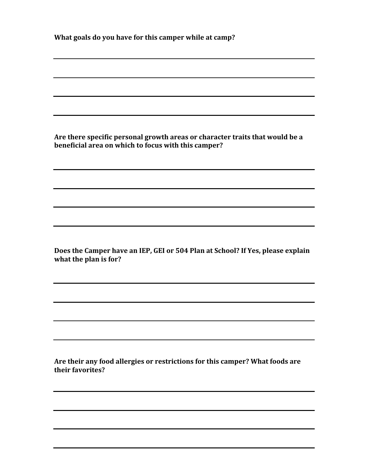| What goals do you have for this camper while at camp? |  |
|-------------------------------------------------------|--|
|                                                       |  |

Are there specific personal growth areas or character traits that would be a **beneficial area on which to focus with this camper?** 

Does the Camper have an IEP, GEI or 504 Plan at School? If Yes, please explain what the plan is for?

Are their any food allergies or restrictions for this camper? What foods are **their favorites?**